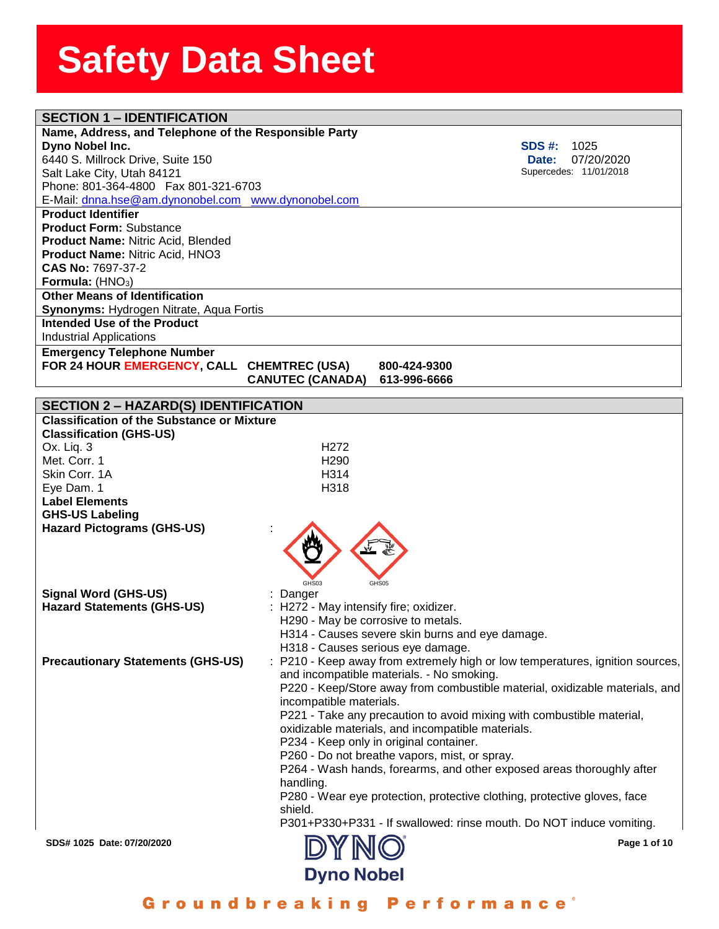| <b>SECTION 1 - IDENTIFICATION</b>                     |                                      |                                                                               |
|-------------------------------------------------------|--------------------------------------|-------------------------------------------------------------------------------|
| Name, Address, and Telephone of the Responsible Party |                                      |                                                                               |
| Dyno Nobel Inc.                                       |                                      | <b>SDS #:</b><br>1025                                                         |
| 6440 S. Millrock Drive, Suite 150                     |                                      | 07/20/2020<br>Date:                                                           |
| Salt Lake City, Utah 84121                            |                                      | Supercedes: 11/01/2018                                                        |
| Phone: 801-364-4800  Fax 801-321-6703                 |                                      |                                                                               |
| E-Mail: dnna.hse@am.dynonobel.com www.dynonobel.com   |                                      |                                                                               |
| <b>Product Identifier</b>                             |                                      |                                                                               |
| <b>Product Form: Substance</b>                        |                                      |                                                                               |
| <b>Product Name: Nitric Acid, Blended</b>             |                                      |                                                                               |
| Product Name: Nitric Acid, HNO3                       |                                      |                                                                               |
| CAS No: 7697-37-2                                     |                                      |                                                                               |
| Formula: $(HNO3)$                                     |                                      |                                                                               |
| <b>Other Means of Identification</b>                  |                                      |                                                                               |
| Synonyms: Hydrogen Nitrate, Aqua Fortis               |                                      |                                                                               |
| <b>Intended Use of the Product</b>                    |                                      |                                                                               |
| <b>Industrial Applications</b>                        |                                      |                                                                               |
| <b>Emergency Telephone Number</b>                     |                                      |                                                                               |
| FOR 24 HOUR EMERGENCY, CALL CHEMTREC (USA)            |                                      | 800-424-9300                                                                  |
|                                                       | <b>CANUTEC (CANADA)</b>              | 613-996-6666                                                                  |
| <b>SECTION 2 - HAZARD(S) IDENTIFICATION</b>           |                                      |                                                                               |
| <b>Classification of the Substance or Mixture</b>     |                                      |                                                                               |
| <b>Classification (GHS-US)</b>                        |                                      |                                                                               |
| Ox. Liq. 3                                            | H <sub>272</sub>                     |                                                                               |
| Met. Corr. 1                                          | H <sub>290</sub>                     |                                                                               |
| Skin Corr. 1A                                         | H314                                 |                                                                               |
| Eye Dam. 1                                            | H318                                 |                                                                               |
| <b>Label Elements</b>                                 |                                      |                                                                               |
| <b>GHS-US Labeling</b>                                |                                      |                                                                               |
| <b>Hazard Pictograms (GHS-US)</b>                     |                                      |                                                                               |
|                                                       |                                      |                                                                               |
|                                                       |                                      |                                                                               |
|                                                       |                                      |                                                                               |
|                                                       | GHS03                                | GHS05                                                                         |
| <b>Signal Word (GHS-US)</b>                           | Danger                               |                                                                               |
| <b>Hazard Statements (GHS-US)</b>                     | H272 - May intensify fire; oxidizer. |                                                                               |
|                                                       | H290 - May be corrosive to metals.   |                                                                               |
|                                                       |                                      | H314 - Causes severe skin burns and eye damage.                               |
|                                                       |                                      | H318 - Causes serious eye damage.                                             |
| <b>Precautionary Statements (GHS-US)</b>              |                                      | : P210 - Keep away from extremely high or low temperatures, ignition sources, |
|                                                       |                                      | and incompatible materials. - No smoking.                                     |
|                                                       |                                      | P220 - Keep/Store away from combustible material, oxidizable materials, and   |
|                                                       | incompatible materials.              |                                                                               |
|                                                       |                                      | P221 - Take any precaution to avoid mixing with combustible material,         |
|                                                       |                                      | oxidizable materials, and incompatible materials.                             |
|                                                       |                                      | P234 - Keep only in original container.                                       |
|                                                       |                                      | P260 - Do not breathe vapors, mist, or spray.                                 |
|                                                       |                                      | P264 - Wash hands, forearms, and other exposed areas thoroughly after         |
|                                                       | handling.                            |                                                                               |
|                                                       | shield.                              | P280 - Wear eye protection, protective clothing, protective gloves, face      |
|                                                       |                                      | P301+P330+P331 - If swallowed: rinse mouth. Do NOT induce vomiting.           |
|                                                       |                                      |                                                                               |
| SDS# 1025 Date: 07/20/2020                            |                                      | Page 1 of 10                                                                  |
|                                                       | <b>Dyno Nobel</b>                    |                                                                               |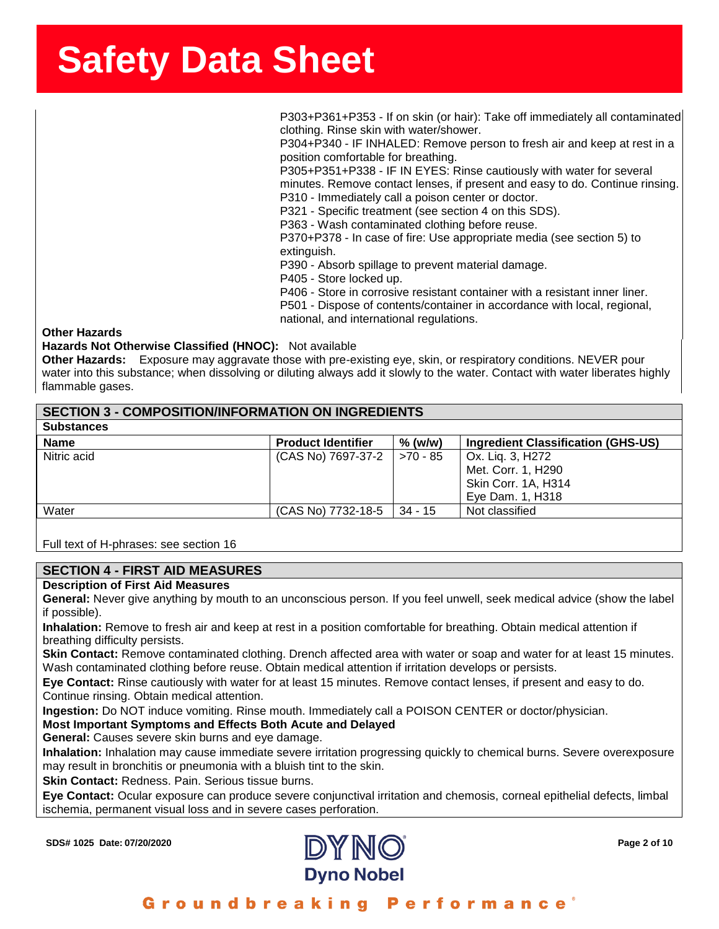**ssssSSherrSheetSSh** P303+P361+P353 - If on skin (or hair): Take off immediately all contaminated clothing. Rinse skin with water/shower.

P304+P340 - IF INHALED: Remove person to fresh air and keep at rest in a position comfortable for breathing.

P305+P351+P338 - IF IN EYES: Rinse cautiously with water for several minutes. Remove contact lenses, if present and easy to do. Continue rinsing. P310 - Immediately call a poison center or doctor.

P321 - Specific treatment (see section 4 on this SDS).

P363 - Wash contaminated clothing before reuse.

P370+P378 - In case of fire: Use appropriate media (see section 5) to extinguish.

P390 - Absorb spillage to prevent material damage.

P405 - Store locked up.

P406 - Store in corrosive resistant container with a resistant inner liner. P501 - Dispose of contents/container in accordance with local, regional, national, and international regulations.

#### **Other Hazards**

**Hazards Not Otherwise Classified (HNOC):** Not available

**Other Hazards:** Exposure may aggravate those with pre-existing eye, skin, or respiratory conditions. NEVER pour water into this substance; when dissolving or diluting always add it slowly to the water. Contact with water liberates highly flammable gases.

# **SECTION 3 - COMPOSITION/INFORMATION ON INGREDIENTS**

| <b>Substances</b> |                           |            |                                    |
|-------------------|---------------------------|------------|------------------------------------|
| <b>Name</b>       | <b>Product Identifier</b> | $%$ (w/w)  | Ingredient Classification (GHS-US) |
| Nitric acid       | (CAS No) 7697-37-2        | $>70 - 85$ | Ox. Lig. 3, H272                   |
|                   |                           |            | Met. Corr. 1, H290                 |
|                   |                           |            | Skin Corr. 1A, H314                |
|                   |                           |            | Eye Dam. 1, H318                   |
| Water             | (CAS No) 7732-18-5        | $34 - 15$  | Not classified                     |
|                   |                           |            |                                    |

Full text of H-phrases: see section 16

### **SECTION 4 - FIRST AID MEASURES**

### **Description of First Aid Measures**

**General:** Never give anything by mouth to an unconscious person. If you feel unwell, seek medical advice (show the label if possible).

**Inhalation:** Remove to fresh air and keep at rest in a position comfortable for breathing. Obtain medical attention if breathing difficulty persists.

**Skin Contact:** Remove contaminated clothing. Drench affected area with water or soap and water for at least 15 minutes. Wash contaminated clothing before reuse. Obtain medical attention if irritation develops or persists.

**Eye Contact:** Rinse cautiously with water for at least 15 minutes. Remove contact lenses, if present and easy to do. Continue rinsing. Obtain medical attention.

**Ingestion:** Do NOT induce vomiting. Rinse mouth. Immediately call a POISON CENTER or doctor/physician.

# **Most Important Symptoms and Effects Both Acute and Delayed**

**General:** Causes severe skin burns and eye damage.

**Inhalation:** Inhalation may cause immediate severe irritation progressing quickly to chemical burns. Severe overexposure may result in bronchitis or pneumonia with a bluish tint to the skin.

**Skin Contact:** Redness. Pain. Serious tissue burns.

**Eye Contact:** Ocular exposure can produce severe conjunctival irritation and chemosis, corneal epithelial defects, limbal ischemia, permanent visual loss and in severe cases perforation.

**SDS# 1025 Date: 07/20/2020 Page 2 of 10**

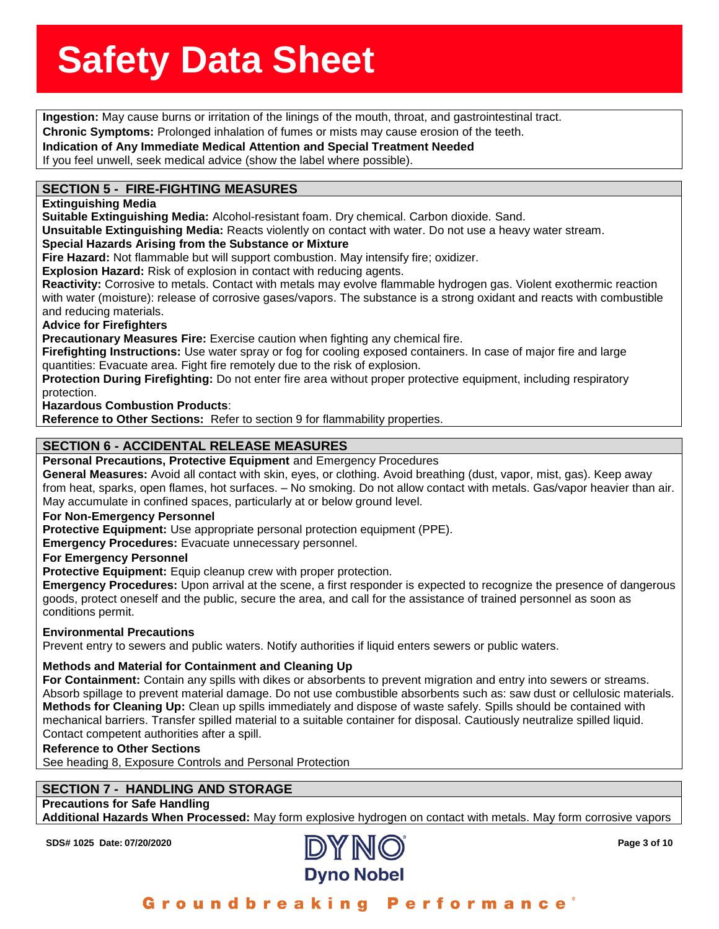**Ingestion:** May cause burns or irritation of the linings of the mouth, throat, and gastrointestinal tract.

**ronic Symptoms:** Prolonge<br>**lication of Any Immediate**<br>ou feel unwell, seek medica **Chronic Symptoms:** Prolonged inhalation of fumes or mists may cause erosion of the teeth.

**Indication of Any Immediate Medical Attention and Special Treatment Needed**

If you feel unwell, seek medical advice (show the label where possible).

# **SECTION 5 - FIRE-FIGHTING MEASURES**

#### **Extinguishing Media**

**Suitable Extinguishing Media:** Alcohol-resistant foam. Dry chemical. Carbon dioxide. Sand.

**Unsuitable Extinguishing Media:** Reacts violently on contact with water. Do not use a heavy water stream.

### **Special Hazards Arising from the Substance or Mixture**

**Fire Hazard:** Not flammable but will support combustion. May intensify fire; oxidizer.

**Explosion Hazard:** Risk of explosion in contact with reducing agents.

**Reactivity:** Corrosive to metals. Contact with metals may evolve flammable hydrogen gas. Violent exothermic reaction with water (moisture): release of corrosive gases/vapors. The substance is a strong oxidant and reacts with combustible and reducing materials.

### **Advice for Firefighters**

**Precautionary Measures Fire:** Exercise caution when fighting any chemical fire.

**Firefighting Instructions:** Use water spray or fog for cooling exposed containers. In case of major fire and large quantities: Evacuate area. Fight fire remotely due to the risk of explosion.

**Protection During Firefighting:** Do not enter fire area without proper protective equipment, including respiratory protection.

**Hazardous Combustion Products**:

**Reference to Other Sections:** Refer to section 9 for flammability properties.

# **SECTION 6 - ACCIDENTAL RELEASE MEASURES**

**Personal Precautions, Protective Equipment** and Emergency Procedures

**General Measures:** Avoid all contact with skin, eyes, or clothing. Avoid breathing (dust, vapor, mist, gas). Keep away from heat, sparks, open flames, hot surfaces. – No smoking. Do not allow contact with metals. Gas/vapor heavier than air. May accumulate in confined spaces, particularly at or below ground level.

### **For Non-Emergency Personnel**

**Protective Equipment:** Use appropriate personal protection equipment (PPE).

**Emergency Procedures:** Evacuate unnecessary personnel.

### **For Emergency Personnel**

**Protective Equipment:** Equip cleanup crew with proper protection.

**Emergency Procedures:** Upon arrival at the scene, a first responder is expected to recognize the presence of dangerous goods, protect oneself and the public, secure the area, and call for the assistance of trained personnel as soon as conditions permit.

### **Environmental Precautions**

Prevent entry to sewers and public waters. Notify authorities if liquid enters sewers or public waters.

### **Methods and Material for Containment and Cleaning Up**

**For Containment:** Contain any spills with dikes or absorbents to prevent migration and entry into sewers or streams. Absorb spillage to prevent material damage. Do not use combustible absorbents such as: saw dust or cellulosic materials. **Methods for Cleaning Up:** Clean up spills immediately and dispose of waste safely. Spills should be contained with mechanical barriers. Transfer spilled material to a suitable container for disposal. Cautiously neutralize spilled liquid. Contact competent authorities after a spill.

#### **Reference to Other Sections**

See heading 8, Exposure Controls and Personal Protection

# **SECTION 7 - HANDLING AND STORAGE**

# **Precautions for Safe Handling**

**Additional Hazards When Processed:** May form explosive hydrogen on contact with metals. May form corrosive vapors

**SDS# 1025 Date: 07/20/2020 Page 3 of 10**

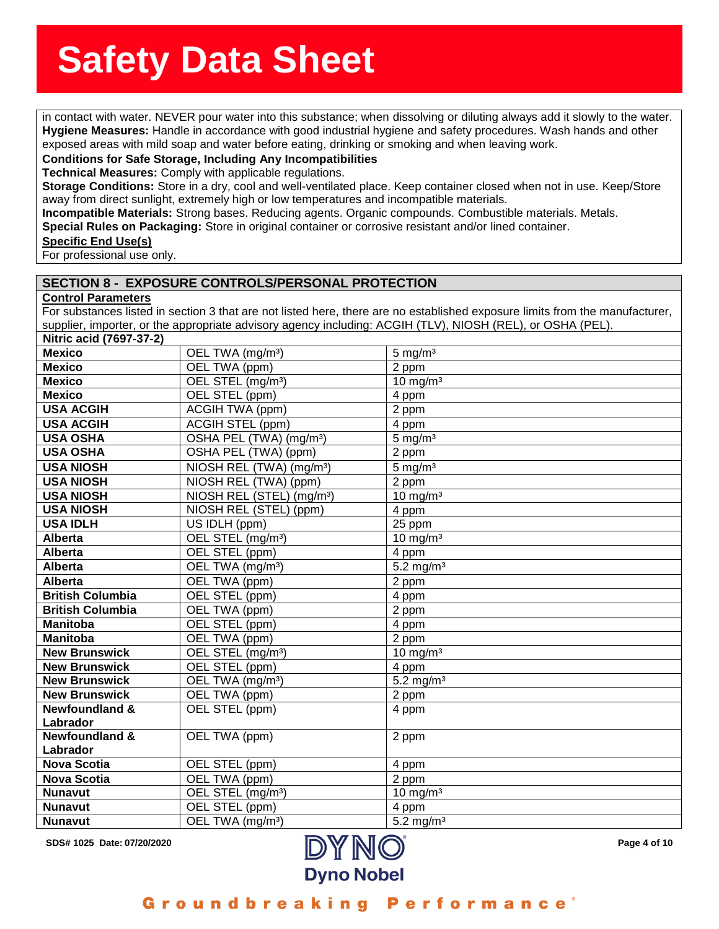in contact with water. NEVER pour water into this substance; when dissolving or diluting always add it slowly to the water.<br>in contact with water. NEVER pour water into this substance; when dissolving or diluting always ad **giene Measures:** Handle in<br>bosed areas with mild soap a<br>**nditions for Safe Storage, Hygiene Measures:** Handle in accordance with good industrial hygiene and safety procedures. Wash hands and other exposed areas with mild soap and water before eating, drinking or smoking and when leaving work.

#### **Conditions for Safe Storage, Including Any Incompatibilities**

**Technical Measures:** Comply with applicable regulations.

**Storage Conditions:** Store in a dry, cool and well-ventilated place. Keep container closed when not in use. Keep/Store away from direct sunlight, extremely high or low temperatures and incompatible materials.

**Incompatible Materials:** Strong bases. Reducing agents. Organic compounds. Combustible materials. Metals.

**Special Rules on Packaging:** Store in original container or corrosive resistant and/or lined container.

#### **Specific End Use(s)**

For professional use only.

### **SECTION 8 - EXPOSURE CONTROLS/PERSONAL PROTECTION**

#### **Control Parameters**

For substances listed in section 3 that are not listed here, there are no established exposure limits from the manufacturer, supplier, importer, or the appropriate advisory agency including: ACGIH (TLV), NIOSH (REL), or OSHA (PEL).

| Nitric acid (7697-37-2)   |                                       |                         |
|---------------------------|---------------------------------------|-------------------------|
| <b>Mexico</b>             | OEL TWA (mg/m <sup>3</sup> )          | $5 \text{ mg/m}^3$      |
| <b>Mexico</b>             | OEL TWA (ppm)                         | 2 ppm                   |
| <b>Mexico</b>             | OEL STEL (mg/m <sup>3</sup> )         | $10 \text{ mg/m}^3$     |
| <b>Mexico</b>             | OEL STEL (ppm)                        | 4 ppm                   |
| <b>USA ACGIH</b>          | <b>ACGIH TWA (ppm)</b>                | 2 ppm                   |
| <b>USA ACGIH</b>          | <b>ACGIH STEL (ppm)</b>               | 4 ppm                   |
| <b>USA OSHA</b>           | OSHA PEL (TWA) (mg/m <sup>3</sup> )   | $5 \text{ mg/m}^3$      |
| <b>USA OSHA</b>           | OSHA PEL (TWA) (ppm)                  | 2 ppm                   |
| <b>USA NIOSH</b>          | NIOSH REL (TWA) (mg/m <sup>3</sup> )  | $5 \text{ mg/m}^3$      |
| <b>USA NIOSH</b>          | NIOSH REL (TWA) (ppm)                 | 2 ppm                   |
| <b>USA NIOSH</b>          | NIOSH REL (STEL) (mg/m <sup>3</sup> ) | $10 \text{ mg/m}^3$     |
| <b>USA NIOSH</b>          | NIOSH REL (STEL) (ppm)                | 4 ppm                   |
| <b>USA IDLH</b>           | US IDLH (ppm)                         | 25 ppm                  |
| <b>Alberta</b>            | OEL STEL (mg/m <sup>3</sup> )         | $10 \text{ mg/m}^3$     |
| <b>Alberta</b>            | OEL STEL (ppm)                        | 4 ppm                   |
| <b>Alberta</b>            | OEL TWA (mg/m <sup>3</sup> )          | $5.2$ mg/m <sup>3</sup> |
| <b>Alberta</b>            | OEL TWA (ppm)                         | 2 ppm                   |
| <b>British Columbia</b>   | OEL STEL (ppm)                        | 4 ppm                   |
| <b>British Columbia</b>   | OEL TWA (ppm)                         | 2 ppm                   |
| <b>Manitoba</b>           | OEL STEL (ppm)                        | 4 ppm                   |
| <b>Manitoba</b>           | OEL TWA (ppm)                         | 2 ppm                   |
| <b>New Brunswick</b>      | OEL STEL (mg/m <sup>3</sup> )         | $10 \text{ mg/m}^3$     |
| <b>New Brunswick</b>      | OEL STEL (ppm)                        | 4 ppm                   |
| <b>New Brunswick</b>      | OEL TWA (mg/m <sup>3</sup> )          | $5.2 \text{ mg/m}^3$    |
| <b>New Brunswick</b>      | OEL TWA (ppm)                         | 2 ppm                   |
| <b>Newfoundland &amp;</b> | OEL STEL (ppm)                        | 4 ppm                   |
| Labrador                  |                                       |                         |
| <b>Newfoundland &amp;</b> | OEL TWA (ppm)                         | 2 ppm                   |
| Labrador                  |                                       |                         |
| <b>Nova Scotia</b>        | OEL STEL (ppm)                        | 4 ppm                   |
| <b>Nova Scotia</b>        | OEL TWA (ppm)                         | 2 ppm                   |
| <b>Nunavut</b>            | OEL STEL (mg/m <sup>3</sup> )         | $10 \text{ mg/m}^3$     |
| <b>Nunavut</b>            | OEL STEL (ppm)                        | 4 ppm                   |
| <b>Nunavut</b>            | OEL TWA (mg/m <sup>3</sup> )          | $5.2$ mg/m <sup>3</sup> |



Groundbreaking Performance'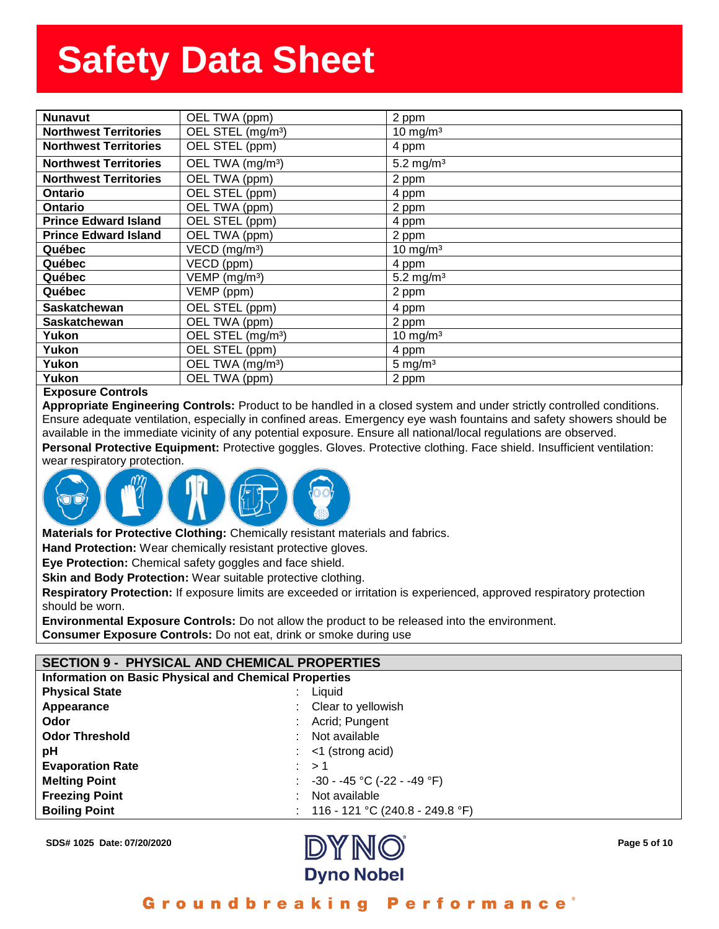| <b>Nunavut</b>               | OEL TWA (ppm)                 | 2 pp $m$              |
|------------------------------|-------------------------------|-----------------------|
| <b>Northwest Territories</b> | OEL STEL (mg/m <sup>3</sup> ) | 10 mg/m $3$           |
| <b>Northwest Territories</b> | OEL STEL (ppm)                | 4 ppm                 |
| <b>Northwest Territories</b> | OEL TWA (mg/m <sup>3</sup> )  | 5.2 mg/m <sup>3</sup> |
| <b>Northwest Territories</b> | OEL TWA (ppm)                 | 2 ppm                 |
| <b>Ontario</b>               | OEL STEL (ppm)                | 4 ppm                 |
| <b>Ontario</b>               | OEL TWA (ppm)                 | $2$ ppm               |
| <b>Prince Edward Island</b>  | OEL STEL (ppm)                | 4 ppm                 |
| <b>Prince Edward Island</b>  | OEL TWA (ppm)                 | $2$ ppm               |
| Québec                       | $VECD$ (mg/m <sup>3</sup> )   | $10 \text{ mg/m}^3$   |
| Québec                       | VECD (ppm)                    | 4 ppm                 |
| Québec                       | VEMP (mg/m <sup>3</sup> )     | 5.2 mg/m <sup>3</sup> |
| Québec                       | VEMP (ppm)                    | 2 ppm                 |
| <b>Saskatchewan</b>          | OEL STEL (ppm)                | 4 ppm                 |
| <b>Saskatchewan</b>          | OEL TWA (ppm)                 | $2$ ppm               |
| Yukon                        | OEL STEL (mg/m <sup>3</sup> ) | 10 mg/ $m3$           |
| Yukon                        | OEL STEL (ppm)                | 4 ppm                 |
| Yukon                        | OEL TWA (mg/m <sup>3</sup> )  | $5 \text{ mg/m}^3$    |
| Yukon                        | OEL TWA (ppm)                 | $2$ ppm               |
|                              |                               |                       |

#### **Exposure Controls**

**Appropriate Engineering Controls:** Product to be handled in a closed system and under strictly controlled conditions. Ensure adequate ventilation, especially in confined areas. Emergency eye wash fountains and safety showers should be available in the immediate vicinity of any potential exposure. Ensure all national/local regulations are observed.

**Personal Protective Equipment:** Protective goggles. Gloves. Protective clothing. Face shield. Insufficient ventilation: wear respiratory protection.



**Materials for Protective Clothing:** Chemically resistant materials and fabrics.

**Hand Protection:** Wear chemically resistant protective gloves.

**Eye Protection:** Chemical safety goggles and face shield.

**Skin and Body Protection:** Wear suitable protective clothing.

**Respiratory Protection:** If exposure limits are exceeded or irritation is experienced, approved respiratory protection should be worn.

**Environmental Exposure Controls:** Do not allow the product to be released into the environment. **Consumer Exposure Controls:** Do not eat, drink or smoke during use

### **SECTION 9 - PHYSICAL AND CHEMICAL PROPERTIES**

**Information on Basic Physical and Chemical Properties**

| <b>Physical State</b>   | ÷ | Liquid                             |
|-------------------------|---|------------------------------------|
| Appearance              |   | : Clear to yellowish               |
| Odor                    |   | : Acrid; Pungent                   |
| <b>Odor Threshold</b>   |   | : Not available                    |
| рH                      |   | $:$ <1 (strong acid)               |
| <b>Evaporation Rate</b> |   | : > 1                              |
| <b>Melting Point</b>    |   | : $-30 - -45$ °C ( $-22 - -49$ °F) |
| <b>Freezing Point</b>   |   | : Not available                    |
| <b>Boiling Point</b>    |   | : 116 - 121 °C (240.8 - 249.8 °F)  |



Groundbreaking Performance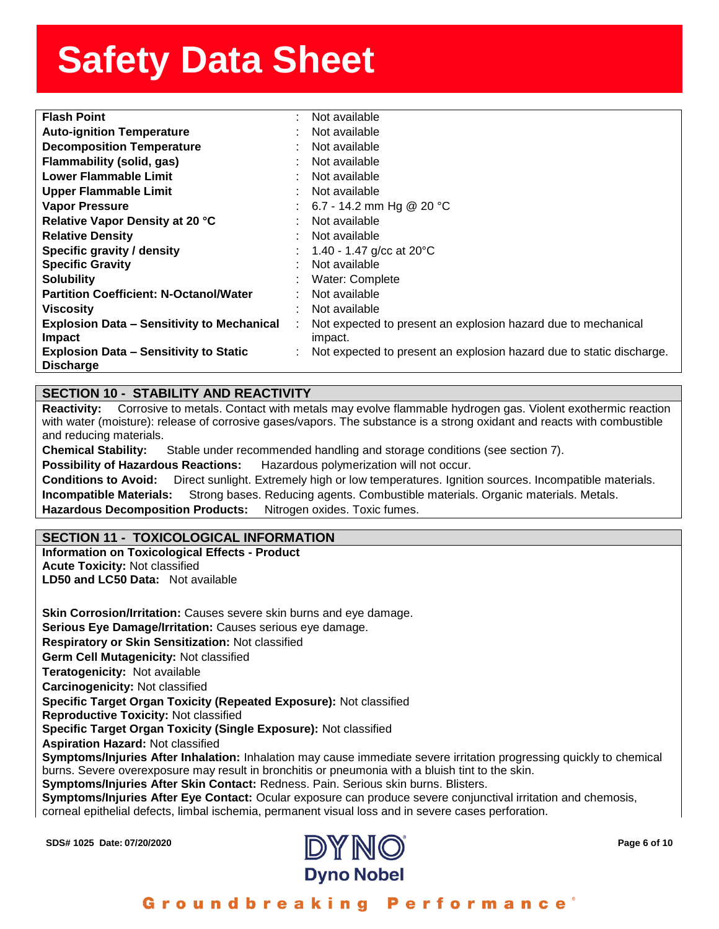| <b>Flash Point</b>                                | Not available                                                        |
|---------------------------------------------------|----------------------------------------------------------------------|
| <b>Auto-ignition Temperature</b>                  | Not available                                                        |
| <b>Decomposition Temperature</b>                  | Not available                                                        |
| Flammability (solid, gas)                         | Not available                                                        |
| Lower Flammable Limit                             | Not available                                                        |
| <b>Upper Flammable Limit</b>                      | Not available                                                        |
| <b>Vapor Pressure</b>                             | 6.7 - 14.2 mm Hg @ 20 °C                                             |
| Relative Vapor Density at 20 °C                   | Not available                                                        |
| <b>Relative Density</b>                           | Not available                                                        |
| Specific gravity / density                        | 1.40 - 1.47 g/cc at $20^{\circ}$ C                                   |
| <b>Specific Gravity</b>                           | Not available                                                        |
| <b>Solubility</b>                                 | Water: Complete                                                      |
| <b>Partition Coefficient: N-Octanol/Water</b>     | Not available                                                        |
| <b>Viscosity</b>                                  | Not available                                                        |
| <b>Explosion Data - Sensitivity to Mechanical</b> | Not expected to present an explosion hazard due to mechanical        |
| <b>Impact</b>                                     | impact.                                                              |
| <b>Explosion Data – Sensitivity to Static</b>     | Not expected to present an explosion hazard due to static discharge. |
| <b>Discharge</b>                                  |                                                                      |

## **SECTION 10 - STABILITY AND REACTIVITY**

**Reactivity:** Corrosive to metals. Contact with metals may evolve flammable hydrogen gas. Violent exothermic reaction with water (moisture): release of corrosive gases/vapors. The substance is a strong oxidant and reacts with combustible and reducing materials.

**Chemical Stability:** Stable under recommended handling and storage conditions (see section 7).

**Possibility of Hazardous Reactions:** Hazardous polymerization will not occur.

**Conditions to Avoid:** Direct sunlight. Extremely high or low temperatures. Ignition sources. Incompatible materials. **Incompatible Materials:** Strong bases. Reducing agents. Combustible materials. Organic materials. Metals. **Hazardous Decomposition Products:** Nitrogen oxides. Toxic fumes.

# **SECTION 11 - TOXICOLOGICAL INFORMATION**

**Information on Toxicological Effects - Product Acute Toxicity:** Not classified **LD50 and LC50 Data:** Not available

**Skin Corrosion/Irritation:** Causes severe skin burns and eye damage. **Serious Eye Damage/Irritation:** Causes serious eye damage. **Respiratory or Skin Sensitization:** Not classified **Germ Cell Mutagenicity:** Not classified**Teratogenicity:** Not available**Carcinogenicity:** Not classified **Specific Target Organ Toxicity (Repeated Exposure):** Not classified **Reproductive Toxicity:** Not classified **Specific Target Organ Toxicity (Single Exposure):** Not classified **Aspiration Hazard:** Not classified **Symptoms/Injuries After Inhalation:** Inhalation may cause immediate severe irritation progressing quickly to chemical burns. Severe overexposure may result in bronchitis or pneumonia with a bluish tint to the skin. **Symptoms/Injuries After Skin Contact:** Redness. Pain. Serious skin burns. Blisters.

**Symptoms/Injuries After Eye Contact:** Ocular exposure can produce severe conjunctival irritation and chemosis,

corneal epithelial defects, limbal ischemia, permanent visual loss and in severe cases perforation.

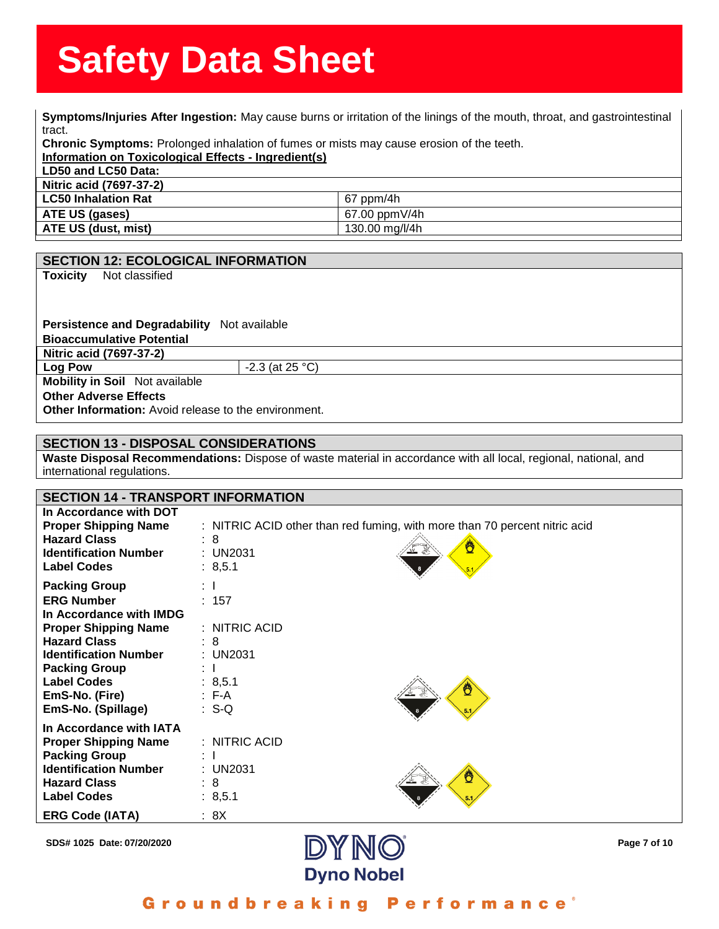**Symptoms/Injuries After Ingestion:** May cause burns or irritation of the linings of the mouth, throat, and gastrointestinal<br>**Symptoms/Injuries After Ingestion:** May cause burns or irritation of the linings of the mouth, t tract.

tract.<br>**Chronic Symptoms:** Prolonged inhalation of fumes or mists may cause erosion of the teeth.<br><mark>Information on Toxicological Effects - Ingre<mark>dient(s)</mark></mark>

**Information on Toxicological Effects - Ingredient(s)**

**LD50 and LC50 Data: Nitric acid (7697-37-2)**

| 111110 acid (1091-31-4)    |                |
|----------------------------|----------------|
| <b>LC50 Inhalation Rat</b> | $67$ ppm/4h    |
| ATE US (gases)             | 67.00 ppmV/4h  |
| <b>ATE US (dust, mist)</b> | 130.00 mg/l/4h |
|                            |                |

|  | <b>SECTION 12: ECOLOGICAL INFORMATION</b> |
|--|-------------------------------------------|
|--|-------------------------------------------|

**Toxicity** Not classified

**Persistence and Degradability** Not available**Bioaccumulative Potential Nitric acid (7697-37-2) Log Pow**  $-.3$  (at 25 °C)

**Mobility in Soil** Not available

**Other Adverse Effects**

**Other Information:** Avoid release to the environment.

## **SECTION 13 - DISPOSAL CONSIDERATIONS**

**Waste Disposal Recommendations:** Dispose of waste material in accordance with all local, regional, national, and international regulations.

| <b>SECTION 14 - TRANSPORT INFORMATION</b>                                                                                                                                                                                                        |                                                                                                               |
|--------------------------------------------------------------------------------------------------------------------------------------------------------------------------------------------------------------------------------------------------|---------------------------------------------------------------------------------------------------------------|
| In Accordance with DOT<br><b>Proper Shipping Name</b><br><b>Hazard Class</b><br><b>Identification Number</b><br><b>Label Codes</b>                                                                                                               | : NITRIC ACID other than red fuming, with more than 70 percent nitric acid<br>: 8<br>₾<br>: UN2031<br>: 8,5.1 |
| <b>Packing Group</b><br><b>ERG Number</b><br>In Accordance with IMDG<br><b>Proper Shipping Name</b><br><b>Hazard Class</b><br><b>Identification Number</b><br><b>Packing Group</b><br><b>Label Codes</b><br>EmS-No. (Fire)<br>EmS-No. (Spillage) | $\mathbf{1}$<br>: 157<br>: NITRIC ACID<br>$\therefore$ 8<br>: UN2031<br>t T<br>: 8,5.1<br>:F-A<br>$: S-Q$     |
| In Accordance with IATA<br><b>Proper Shipping Name</b><br><b>Packing Group</b><br><b>Identification Number</b><br><b>Hazard Class</b><br><b>Label Codes</b><br><b>ERG Code (IATA)</b>                                                            | $:$ NITRIC ACID<br>: I<br>: UN2031<br>: 8<br>: 8,5.1<br>: 8X                                                  |

**SDS# 1025 Date: 07/20/2020 Page 7 of 10**



Groundbreaking **Performance**<sup>®</sup>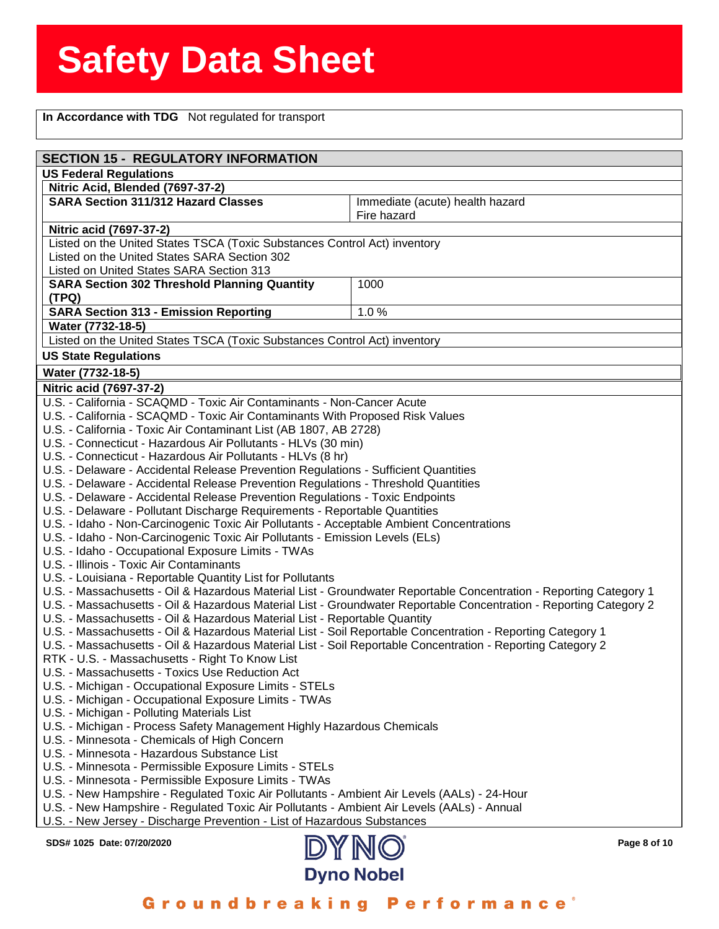**Fig. 3. Solution Inc.**<br> **In Accordance with TDG** Not regulated for transport

| <b>SECTION 15 - REGULATORY INFORMATION</b><br><b>US Federal Regulations</b><br>Nitric Acid, Blended (7697-37-2)<br><b>SARA Section 311/312 Hazard Classes</b><br>Immediate (acute) health hazard<br>Fire hazard<br>Nitric acid (7697-37-2)<br>Listed on the United States TSCA (Toxic Substances Control Act) inventory<br>Listed on the United States SARA Section 302<br>Listed on United States SARA Section 313<br><b>SARA Section 302 Threshold Planning Quantity</b><br>1000<br>(TPQ)<br><b>SARA Section 313 - Emission Reporting</b><br>1.0%<br>Water (7732-18-5)<br>Listed on the United States TSCA (Toxic Substances Control Act) inventory<br><b>US State Regulations</b><br>Water (7732-18-5)<br>Nitric acid (7697-37-2)<br>U.S. - California - SCAQMD - Toxic Air Contaminants - Non-Cancer Acute<br>U.S. - California - SCAQMD - Toxic Air Contaminants With Proposed Risk Values<br>U.S. - California - Toxic Air Contaminant List (AB 1807, AB 2728)<br>U.S. - Connecticut - Hazardous Air Pollutants - HLVs (30 min)<br>U.S. - Connecticut - Hazardous Air Pollutants - HLVs (8 hr)<br>U.S. - Delaware - Accidental Release Prevention Regulations - Sufficient Quantities<br>U.S. - Delaware - Accidental Release Prevention Regulations - Threshold Quantities<br>U.S. - Delaware - Accidental Release Prevention Regulations - Toxic Endpoints<br>U.S. - Delaware - Pollutant Discharge Requirements - Reportable Quantities<br>U.S. - Idaho - Non-Carcinogenic Toxic Air Pollutants - Acceptable Ambient Concentrations<br>U.S. - Idaho - Non-Carcinogenic Toxic Air Pollutants - Emission Levels (ELs)<br>U.S. - Idaho - Occupational Exposure Limits - TWAs<br>U.S. - Illinois - Toxic Air Contaminants<br>U.S. - Louisiana - Reportable Quantity List for Pollutants<br>U.S. - Massachusetts - Oil & Hazardous Material List - Groundwater Reportable Concentration - Reporting Category 1<br>U.S. - Massachusetts - Oil & Hazardous Material List - Groundwater Reportable Concentration - Reporting Category 2<br>U.S. - Massachusetts - Oil & Hazardous Material List - Reportable Quantity<br>U.S. - Massachusetts - Oil & Hazardous Material List - Soil Reportable Concentration - Reporting Category 1<br>U.S. - Massachusetts - Oil & Hazardous Material List - Soil Reportable Concentration - Reporting Category 2<br>RTK - U.S. - Massachusetts - Right To Know List<br>U.S. - Massachusetts - Toxics Use Reduction Act<br>U.S. - Michigan - Occupational Exposure Limits - STELs<br>U.S. - Michigan - Occupational Exposure Limits - TWAs<br>U.S. - Michigan - Polluting Materials List<br>U.S. - Michigan - Process Safety Management Highly Hazardous Chemicals<br>U.S. - Minnesota - Chemicals of High Concern<br>U.S. - Minnesota - Hazardous Substance List<br>U.S. - Minnesota - Permissible Exposure Limits - STELs<br>U.S. - Minnesota - Permissible Exposure Limits - TWAs<br>U.S. - New Hampshire - Regulated Toxic Air Pollutants - Ambient Air Levels (AALs) - 24-Hour<br>U.S. - New Hampshire - Regulated Toxic Air Pollutants - Ambient Air Levels (AALs) - Annual<br>U.S. - New Jersey - Discharge Prevention - List of Hazardous Substances<br>DYNO<br>SDS# 1025 Date: 07/20/2020<br>Page 8 of 10 |  |  |  |  |
|-------------------------------------------------------------------------------------------------------------------------------------------------------------------------------------------------------------------------------------------------------------------------------------------------------------------------------------------------------------------------------------------------------------------------------------------------------------------------------------------------------------------------------------------------------------------------------------------------------------------------------------------------------------------------------------------------------------------------------------------------------------------------------------------------------------------------------------------------------------------------------------------------------------------------------------------------------------------------------------------------------------------------------------------------------------------------------------------------------------------------------------------------------------------------------------------------------------------------------------------------------------------------------------------------------------------------------------------------------------------------------------------------------------------------------------------------------------------------------------------------------------------------------------------------------------------------------------------------------------------------------------------------------------------------------------------------------------------------------------------------------------------------------------------------------------------------------------------------------------------------------------------------------------------------------------------------------------------------------------------------------------------------------------------------------------------------------------------------------------------------------------------------------------------------------------------------------------------------------------------------------------------------------------------------------------------------------------------------------------------------------------------------------------------------------------------------------------------------------------------------------------------------------------------------------------------------------------------------------------------------------------------------------------------------------------------------------------------------------------------------------------------------------------------------------------------------------------------------------------------------------------------------------------------------------------------------------------------------------------------------------------------------------------------------------------------------------------------------------------------------------------------------------------------------------------------------------------------------------------------------------|--|--|--|--|
|                                                                                                                                                                                                                                                                                                                                                                                                                                                                                                                                                                                                                                                                                                                                                                                                                                                                                                                                                                                                                                                                                                                                                                                                                                                                                                                                                                                                                                                                                                                                                                                                                                                                                                                                                                                                                                                                                                                                                                                                                                                                                                                                                                                                                                                                                                                                                                                                                                                                                                                                                                                                                                                                                                                                                                                                                                                                                                                                                                                                                                                                                                                                                                                                                                                       |  |  |  |  |
|                                                                                                                                                                                                                                                                                                                                                                                                                                                                                                                                                                                                                                                                                                                                                                                                                                                                                                                                                                                                                                                                                                                                                                                                                                                                                                                                                                                                                                                                                                                                                                                                                                                                                                                                                                                                                                                                                                                                                                                                                                                                                                                                                                                                                                                                                                                                                                                                                                                                                                                                                                                                                                                                                                                                                                                                                                                                                                                                                                                                                                                                                                                                                                                                                                                       |  |  |  |  |
|                                                                                                                                                                                                                                                                                                                                                                                                                                                                                                                                                                                                                                                                                                                                                                                                                                                                                                                                                                                                                                                                                                                                                                                                                                                                                                                                                                                                                                                                                                                                                                                                                                                                                                                                                                                                                                                                                                                                                                                                                                                                                                                                                                                                                                                                                                                                                                                                                                                                                                                                                                                                                                                                                                                                                                                                                                                                                                                                                                                                                                                                                                                                                                                                                                                       |  |  |  |  |
|                                                                                                                                                                                                                                                                                                                                                                                                                                                                                                                                                                                                                                                                                                                                                                                                                                                                                                                                                                                                                                                                                                                                                                                                                                                                                                                                                                                                                                                                                                                                                                                                                                                                                                                                                                                                                                                                                                                                                                                                                                                                                                                                                                                                                                                                                                                                                                                                                                                                                                                                                                                                                                                                                                                                                                                                                                                                                                                                                                                                                                                                                                                                                                                                                                                       |  |  |  |  |
|                                                                                                                                                                                                                                                                                                                                                                                                                                                                                                                                                                                                                                                                                                                                                                                                                                                                                                                                                                                                                                                                                                                                                                                                                                                                                                                                                                                                                                                                                                                                                                                                                                                                                                                                                                                                                                                                                                                                                                                                                                                                                                                                                                                                                                                                                                                                                                                                                                                                                                                                                                                                                                                                                                                                                                                                                                                                                                                                                                                                                                                                                                                                                                                                                                                       |  |  |  |  |
|                                                                                                                                                                                                                                                                                                                                                                                                                                                                                                                                                                                                                                                                                                                                                                                                                                                                                                                                                                                                                                                                                                                                                                                                                                                                                                                                                                                                                                                                                                                                                                                                                                                                                                                                                                                                                                                                                                                                                                                                                                                                                                                                                                                                                                                                                                                                                                                                                                                                                                                                                                                                                                                                                                                                                                                                                                                                                                                                                                                                                                                                                                                                                                                                                                                       |  |  |  |  |
|                                                                                                                                                                                                                                                                                                                                                                                                                                                                                                                                                                                                                                                                                                                                                                                                                                                                                                                                                                                                                                                                                                                                                                                                                                                                                                                                                                                                                                                                                                                                                                                                                                                                                                                                                                                                                                                                                                                                                                                                                                                                                                                                                                                                                                                                                                                                                                                                                                                                                                                                                                                                                                                                                                                                                                                                                                                                                                                                                                                                                                                                                                                                                                                                                                                       |  |  |  |  |
|                                                                                                                                                                                                                                                                                                                                                                                                                                                                                                                                                                                                                                                                                                                                                                                                                                                                                                                                                                                                                                                                                                                                                                                                                                                                                                                                                                                                                                                                                                                                                                                                                                                                                                                                                                                                                                                                                                                                                                                                                                                                                                                                                                                                                                                                                                                                                                                                                                                                                                                                                                                                                                                                                                                                                                                                                                                                                                                                                                                                                                                                                                                                                                                                                                                       |  |  |  |  |
|                                                                                                                                                                                                                                                                                                                                                                                                                                                                                                                                                                                                                                                                                                                                                                                                                                                                                                                                                                                                                                                                                                                                                                                                                                                                                                                                                                                                                                                                                                                                                                                                                                                                                                                                                                                                                                                                                                                                                                                                                                                                                                                                                                                                                                                                                                                                                                                                                                                                                                                                                                                                                                                                                                                                                                                                                                                                                                                                                                                                                                                                                                                                                                                                                                                       |  |  |  |  |
|                                                                                                                                                                                                                                                                                                                                                                                                                                                                                                                                                                                                                                                                                                                                                                                                                                                                                                                                                                                                                                                                                                                                                                                                                                                                                                                                                                                                                                                                                                                                                                                                                                                                                                                                                                                                                                                                                                                                                                                                                                                                                                                                                                                                                                                                                                                                                                                                                                                                                                                                                                                                                                                                                                                                                                                                                                                                                                                                                                                                                                                                                                                                                                                                                                                       |  |  |  |  |
|                                                                                                                                                                                                                                                                                                                                                                                                                                                                                                                                                                                                                                                                                                                                                                                                                                                                                                                                                                                                                                                                                                                                                                                                                                                                                                                                                                                                                                                                                                                                                                                                                                                                                                                                                                                                                                                                                                                                                                                                                                                                                                                                                                                                                                                                                                                                                                                                                                                                                                                                                                                                                                                                                                                                                                                                                                                                                                                                                                                                                                                                                                                                                                                                                                                       |  |  |  |  |
|                                                                                                                                                                                                                                                                                                                                                                                                                                                                                                                                                                                                                                                                                                                                                                                                                                                                                                                                                                                                                                                                                                                                                                                                                                                                                                                                                                                                                                                                                                                                                                                                                                                                                                                                                                                                                                                                                                                                                                                                                                                                                                                                                                                                                                                                                                                                                                                                                                                                                                                                                                                                                                                                                                                                                                                                                                                                                                                                                                                                                                                                                                                                                                                                                                                       |  |  |  |  |
|                                                                                                                                                                                                                                                                                                                                                                                                                                                                                                                                                                                                                                                                                                                                                                                                                                                                                                                                                                                                                                                                                                                                                                                                                                                                                                                                                                                                                                                                                                                                                                                                                                                                                                                                                                                                                                                                                                                                                                                                                                                                                                                                                                                                                                                                                                                                                                                                                                                                                                                                                                                                                                                                                                                                                                                                                                                                                                                                                                                                                                                                                                                                                                                                                                                       |  |  |  |  |
|                                                                                                                                                                                                                                                                                                                                                                                                                                                                                                                                                                                                                                                                                                                                                                                                                                                                                                                                                                                                                                                                                                                                                                                                                                                                                                                                                                                                                                                                                                                                                                                                                                                                                                                                                                                                                                                                                                                                                                                                                                                                                                                                                                                                                                                                                                                                                                                                                                                                                                                                                                                                                                                                                                                                                                                                                                                                                                                                                                                                                                                                                                                                                                                                                                                       |  |  |  |  |
|                                                                                                                                                                                                                                                                                                                                                                                                                                                                                                                                                                                                                                                                                                                                                                                                                                                                                                                                                                                                                                                                                                                                                                                                                                                                                                                                                                                                                                                                                                                                                                                                                                                                                                                                                                                                                                                                                                                                                                                                                                                                                                                                                                                                                                                                                                                                                                                                                                                                                                                                                                                                                                                                                                                                                                                                                                                                                                                                                                                                                                                                                                                                                                                                                                                       |  |  |  |  |
|                                                                                                                                                                                                                                                                                                                                                                                                                                                                                                                                                                                                                                                                                                                                                                                                                                                                                                                                                                                                                                                                                                                                                                                                                                                                                                                                                                                                                                                                                                                                                                                                                                                                                                                                                                                                                                                                                                                                                                                                                                                                                                                                                                                                                                                                                                                                                                                                                                                                                                                                                                                                                                                                                                                                                                                                                                                                                                                                                                                                                                                                                                                                                                                                                                                       |  |  |  |  |
|                                                                                                                                                                                                                                                                                                                                                                                                                                                                                                                                                                                                                                                                                                                                                                                                                                                                                                                                                                                                                                                                                                                                                                                                                                                                                                                                                                                                                                                                                                                                                                                                                                                                                                                                                                                                                                                                                                                                                                                                                                                                                                                                                                                                                                                                                                                                                                                                                                                                                                                                                                                                                                                                                                                                                                                                                                                                                                                                                                                                                                                                                                                                                                                                                                                       |  |  |  |  |
|                                                                                                                                                                                                                                                                                                                                                                                                                                                                                                                                                                                                                                                                                                                                                                                                                                                                                                                                                                                                                                                                                                                                                                                                                                                                                                                                                                                                                                                                                                                                                                                                                                                                                                                                                                                                                                                                                                                                                                                                                                                                                                                                                                                                                                                                                                                                                                                                                                                                                                                                                                                                                                                                                                                                                                                                                                                                                                                                                                                                                                                                                                                                                                                                                                                       |  |  |  |  |
|                                                                                                                                                                                                                                                                                                                                                                                                                                                                                                                                                                                                                                                                                                                                                                                                                                                                                                                                                                                                                                                                                                                                                                                                                                                                                                                                                                                                                                                                                                                                                                                                                                                                                                                                                                                                                                                                                                                                                                                                                                                                                                                                                                                                                                                                                                                                                                                                                                                                                                                                                                                                                                                                                                                                                                                                                                                                                                                                                                                                                                                                                                                                                                                                                                                       |  |  |  |  |
|                                                                                                                                                                                                                                                                                                                                                                                                                                                                                                                                                                                                                                                                                                                                                                                                                                                                                                                                                                                                                                                                                                                                                                                                                                                                                                                                                                                                                                                                                                                                                                                                                                                                                                                                                                                                                                                                                                                                                                                                                                                                                                                                                                                                                                                                                                                                                                                                                                                                                                                                                                                                                                                                                                                                                                                                                                                                                                                                                                                                                                                                                                                                                                                                                                                       |  |  |  |  |
|                                                                                                                                                                                                                                                                                                                                                                                                                                                                                                                                                                                                                                                                                                                                                                                                                                                                                                                                                                                                                                                                                                                                                                                                                                                                                                                                                                                                                                                                                                                                                                                                                                                                                                                                                                                                                                                                                                                                                                                                                                                                                                                                                                                                                                                                                                                                                                                                                                                                                                                                                                                                                                                                                                                                                                                                                                                                                                                                                                                                                                                                                                                                                                                                                                                       |  |  |  |  |
|                                                                                                                                                                                                                                                                                                                                                                                                                                                                                                                                                                                                                                                                                                                                                                                                                                                                                                                                                                                                                                                                                                                                                                                                                                                                                                                                                                                                                                                                                                                                                                                                                                                                                                                                                                                                                                                                                                                                                                                                                                                                                                                                                                                                                                                                                                                                                                                                                                                                                                                                                                                                                                                                                                                                                                                                                                                                                                                                                                                                                                                                                                                                                                                                                                                       |  |  |  |  |
|                                                                                                                                                                                                                                                                                                                                                                                                                                                                                                                                                                                                                                                                                                                                                                                                                                                                                                                                                                                                                                                                                                                                                                                                                                                                                                                                                                                                                                                                                                                                                                                                                                                                                                                                                                                                                                                                                                                                                                                                                                                                                                                                                                                                                                                                                                                                                                                                                                                                                                                                                                                                                                                                                                                                                                                                                                                                                                                                                                                                                                                                                                                                                                                                                                                       |  |  |  |  |
|                                                                                                                                                                                                                                                                                                                                                                                                                                                                                                                                                                                                                                                                                                                                                                                                                                                                                                                                                                                                                                                                                                                                                                                                                                                                                                                                                                                                                                                                                                                                                                                                                                                                                                                                                                                                                                                                                                                                                                                                                                                                                                                                                                                                                                                                                                                                                                                                                                                                                                                                                                                                                                                                                                                                                                                                                                                                                                                                                                                                                                                                                                                                                                                                                                                       |  |  |  |  |
|                                                                                                                                                                                                                                                                                                                                                                                                                                                                                                                                                                                                                                                                                                                                                                                                                                                                                                                                                                                                                                                                                                                                                                                                                                                                                                                                                                                                                                                                                                                                                                                                                                                                                                                                                                                                                                                                                                                                                                                                                                                                                                                                                                                                                                                                                                                                                                                                                                                                                                                                                                                                                                                                                                                                                                                                                                                                                                                                                                                                                                                                                                                                                                                                                                                       |  |  |  |  |
|                                                                                                                                                                                                                                                                                                                                                                                                                                                                                                                                                                                                                                                                                                                                                                                                                                                                                                                                                                                                                                                                                                                                                                                                                                                                                                                                                                                                                                                                                                                                                                                                                                                                                                                                                                                                                                                                                                                                                                                                                                                                                                                                                                                                                                                                                                                                                                                                                                                                                                                                                                                                                                                                                                                                                                                                                                                                                                                                                                                                                                                                                                                                                                                                                                                       |  |  |  |  |
|                                                                                                                                                                                                                                                                                                                                                                                                                                                                                                                                                                                                                                                                                                                                                                                                                                                                                                                                                                                                                                                                                                                                                                                                                                                                                                                                                                                                                                                                                                                                                                                                                                                                                                                                                                                                                                                                                                                                                                                                                                                                                                                                                                                                                                                                                                                                                                                                                                                                                                                                                                                                                                                                                                                                                                                                                                                                                                                                                                                                                                                                                                                                                                                                                                                       |  |  |  |  |
|                                                                                                                                                                                                                                                                                                                                                                                                                                                                                                                                                                                                                                                                                                                                                                                                                                                                                                                                                                                                                                                                                                                                                                                                                                                                                                                                                                                                                                                                                                                                                                                                                                                                                                                                                                                                                                                                                                                                                                                                                                                                                                                                                                                                                                                                                                                                                                                                                                                                                                                                                                                                                                                                                                                                                                                                                                                                                                                                                                                                                                                                                                                                                                                                                                                       |  |  |  |  |
|                                                                                                                                                                                                                                                                                                                                                                                                                                                                                                                                                                                                                                                                                                                                                                                                                                                                                                                                                                                                                                                                                                                                                                                                                                                                                                                                                                                                                                                                                                                                                                                                                                                                                                                                                                                                                                                                                                                                                                                                                                                                                                                                                                                                                                                                                                                                                                                                                                                                                                                                                                                                                                                                                                                                                                                                                                                                                                                                                                                                                                                                                                                                                                                                                                                       |  |  |  |  |
|                                                                                                                                                                                                                                                                                                                                                                                                                                                                                                                                                                                                                                                                                                                                                                                                                                                                                                                                                                                                                                                                                                                                                                                                                                                                                                                                                                                                                                                                                                                                                                                                                                                                                                                                                                                                                                                                                                                                                                                                                                                                                                                                                                                                                                                                                                                                                                                                                                                                                                                                                                                                                                                                                                                                                                                                                                                                                                                                                                                                                                                                                                                                                                                                                                                       |  |  |  |  |
|                                                                                                                                                                                                                                                                                                                                                                                                                                                                                                                                                                                                                                                                                                                                                                                                                                                                                                                                                                                                                                                                                                                                                                                                                                                                                                                                                                                                                                                                                                                                                                                                                                                                                                                                                                                                                                                                                                                                                                                                                                                                                                                                                                                                                                                                                                                                                                                                                                                                                                                                                                                                                                                                                                                                                                                                                                                                                                                                                                                                                                                                                                                                                                                                                                                       |  |  |  |  |
|                                                                                                                                                                                                                                                                                                                                                                                                                                                                                                                                                                                                                                                                                                                                                                                                                                                                                                                                                                                                                                                                                                                                                                                                                                                                                                                                                                                                                                                                                                                                                                                                                                                                                                                                                                                                                                                                                                                                                                                                                                                                                                                                                                                                                                                                                                                                                                                                                                                                                                                                                                                                                                                                                                                                                                                                                                                                                                                                                                                                                                                                                                                                                                                                                                                       |  |  |  |  |
|                                                                                                                                                                                                                                                                                                                                                                                                                                                                                                                                                                                                                                                                                                                                                                                                                                                                                                                                                                                                                                                                                                                                                                                                                                                                                                                                                                                                                                                                                                                                                                                                                                                                                                                                                                                                                                                                                                                                                                                                                                                                                                                                                                                                                                                                                                                                                                                                                                                                                                                                                                                                                                                                                                                                                                                                                                                                                                                                                                                                                                                                                                                                                                                                                                                       |  |  |  |  |
|                                                                                                                                                                                                                                                                                                                                                                                                                                                                                                                                                                                                                                                                                                                                                                                                                                                                                                                                                                                                                                                                                                                                                                                                                                                                                                                                                                                                                                                                                                                                                                                                                                                                                                                                                                                                                                                                                                                                                                                                                                                                                                                                                                                                                                                                                                                                                                                                                                                                                                                                                                                                                                                                                                                                                                                                                                                                                                                                                                                                                                                                                                                                                                                                                                                       |  |  |  |  |
|                                                                                                                                                                                                                                                                                                                                                                                                                                                                                                                                                                                                                                                                                                                                                                                                                                                                                                                                                                                                                                                                                                                                                                                                                                                                                                                                                                                                                                                                                                                                                                                                                                                                                                                                                                                                                                                                                                                                                                                                                                                                                                                                                                                                                                                                                                                                                                                                                                                                                                                                                                                                                                                                                                                                                                                                                                                                                                                                                                                                                                                                                                                                                                                                                                                       |  |  |  |  |
|                                                                                                                                                                                                                                                                                                                                                                                                                                                                                                                                                                                                                                                                                                                                                                                                                                                                                                                                                                                                                                                                                                                                                                                                                                                                                                                                                                                                                                                                                                                                                                                                                                                                                                                                                                                                                                                                                                                                                                                                                                                                                                                                                                                                                                                                                                                                                                                                                                                                                                                                                                                                                                                                                                                                                                                                                                                                                                                                                                                                                                                                                                                                                                                                                                                       |  |  |  |  |
|                                                                                                                                                                                                                                                                                                                                                                                                                                                                                                                                                                                                                                                                                                                                                                                                                                                                                                                                                                                                                                                                                                                                                                                                                                                                                                                                                                                                                                                                                                                                                                                                                                                                                                                                                                                                                                                                                                                                                                                                                                                                                                                                                                                                                                                                                                                                                                                                                                                                                                                                                                                                                                                                                                                                                                                                                                                                                                                                                                                                                                                                                                                                                                                                                                                       |  |  |  |  |
|                                                                                                                                                                                                                                                                                                                                                                                                                                                                                                                                                                                                                                                                                                                                                                                                                                                                                                                                                                                                                                                                                                                                                                                                                                                                                                                                                                                                                                                                                                                                                                                                                                                                                                                                                                                                                                                                                                                                                                                                                                                                                                                                                                                                                                                                                                                                                                                                                                                                                                                                                                                                                                                                                                                                                                                                                                                                                                                                                                                                                                                                                                                                                                                                                                                       |  |  |  |  |
|                                                                                                                                                                                                                                                                                                                                                                                                                                                                                                                                                                                                                                                                                                                                                                                                                                                                                                                                                                                                                                                                                                                                                                                                                                                                                                                                                                                                                                                                                                                                                                                                                                                                                                                                                                                                                                                                                                                                                                                                                                                                                                                                                                                                                                                                                                                                                                                                                                                                                                                                                                                                                                                                                                                                                                                                                                                                                                                                                                                                                                                                                                                                                                                                                                                       |  |  |  |  |
|                                                                                                                                                                                                                                                                                                                                                                                                                                                                                                                                                                                                                                                                                                                                                                                                                                                                                                                                                                                                                                                                                                                                                                                                                                                                                                                                                                                                                                                                                                                                                                                                                                                                                                                                                                                                                                                                                                                                                                                                                                                                                                                                                                                                                                                                                                                                                                                                                                                                                                                                                                                                                                                                                                                                                                                                                                                                                                                                                                                                                                                                                                                                                                                                                                                       |  |  |  |  |
|                                                                                                                                                                                                                                                                                                                                                                                                                                                                                                                                                                                                                                                                                                                                                                                                                                                                                                                                                                                                                                                                                                                                                                                                                                                                                                                                                                                                                                                                                                                                                                                                                                                                                                                                                                                                                                                                                                                                                                                                                                                                                                                                                                                                                                                                                                                                                                                                                                                                                                                                                                                                                                                                                                                                                                                                                                                                                                                                                                                                                                                                                                                                                                                                                                                       |  |  |  |  |
|                                                                                                                                                                                                                                                                                                                                                                                                                                                                                                                                                                                                                                                                                                                                                                                                                                                                                                                                                                                                                                                                                                                                                                                                                                                                                                                                                                                                                                                                                                                                                                                                                                                                                                                                                                                                                                                                                                                                                                                                                                                                                                                                                                                                                                                                                                                                                                                                                                                                                                                                                                                                                                                                                                                                                                                                                                                                                                                                                                                                                                                                                                                                                                                                                                                       |  |  |  |  |
|                                                                                                                                                                                                                                                                                                                                                                                                                                                                                                                                                                                                                                                                                                                                                                                                                                                                                                                                                                                                                                                                                                                                                                                                                                                                                                                                                                                                                                                                                                                                                                                                                                                                                                                                                                                                                                                                                                                                                                                                                                                                                                                                                                                                                                                                                                                                                                                                                                                                                                                                                                                                                                                                                                                                                                                                                                                                                                                                                                                                                                                                                                                                                                                                                                                       |  |  |  |  |
|                                                                                                                                                                                                                                                                                                                                                                                                                                                                                                                                                                                                                                                                                                                                                                                                                                                                                                                                                                                                                                                                                                                                                                                                                                                                                                                                                                                                                                                                                                                                                                                                                                                                                                                                                                                                                                                                                                                                                                                                                                                                                                                                                                                                                                                                                                                                                                                                                                                                                                                                                                                                                                                                                                                                                                                                                                                                                                                                                                                                                                                                                                                                                                                                                                                       |  |  |  |  |
|                                                                                                                                                                                                                                                                                                                                                                                                                                                                                                                                                                                                                                                                                                                                                                                                                                                                                                                                                                                                                                                                                                                                                                                                                                                                                                                                                                                                                                                                                                                                                                                                                                                                                                                                                                                                                                                                                                                                                                                                                                                                                                                                                                                                                                                                                                                                                                                                                                                                                                                                                                                                                                                                                                                                                                                                                                                                                                                                                                                                                                                                                                                                                                                                                                                       |  |  |  |  |
|                                                                                                                                                                                                                                                                                                                                                                                                                                                                                                                                                                                                                                                                                                                                                                                                                                                                                                                                                                                                                                                                                                                                                                                                                                                                                                                                                                                                                                                                                                                                                                                                                                                                                                                                                                                                                                                                                                                                                                                                                                                                                                                                                                                                                                                                                                                                                                                                                                                                                                                                                                                                                                                                                                                                                                                                                                                                                                                                                                                                                                                                                                                                                                                                                                                       |  |  |  |  |
|                                                                                                                                                                                                                                                                                                                                                                                                                                                                                                                                                                                                                                                                                                                                                                                                                                                                                                                                                                                                                                                                                                                                                                                                                                                                                                                                                                                                                                                                                                                                                                                                                                                                                                                                                                                                                                                                                                                                                                                                                                                                                                                                                                                                                                                                                                                                                                                                                                                                                                                                                                                                                                                                                                                                                                                                                                                                                                                                                                                                                                                                                                                                                                                                                                                       |  |  |  |  |
|                                                                                                                                                                                                                                                                                                                                                                                                                                                                                                                                                                                                                                                                                                                                                                                                                                                                                                                                                                                                                                                                                                                                                                                                                                                                                                                                                                                                                                                                                                                                                                                                                                                                                                                                                                                                                                                                                                                                                                                                                                                                                                                                                                                                                                                                                                                                                                                                                                                                                                                                                                                                                                                                                                                                                                                                                                                                                                                                                                                                                                                                                                                                                                                                                                                       |  |  |  |  |

Groundbreaking Performance<sup>®</sup>

**Dyno Nobel**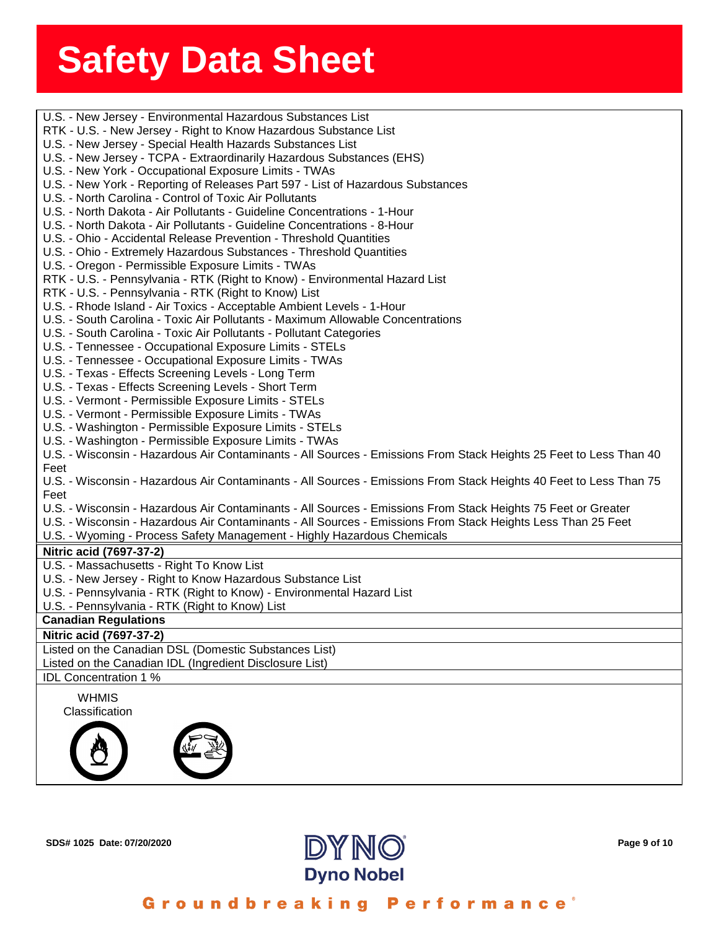**ssssSSherrSheetSSh** U.S. - New Jersey - Environmental Hazardous Substances List K - U.S. - New Jersey - Rigi<br>S. - New Jersey - Special He<br>S. - New Jersey - TCPA - Ex RTK - U.S. - New Jersey - Right to Know Hazardous Substance List U.S. - New Jersey - Special Health Hazards Substances List U.S. - New Jersey - TCPA - Extraordinarily Hazardous Substances (EHS) U.S. - New York - Occupational Exposure Limits - TWAs U.S. - New York - Reporting of Releases Part 597 - List of Hazardous Substances U.S. - North Carolina - Control of Toxic Air Pollutants U.S. - North Dakota - Air Pollutants - Guideline Concentrations - 1-Hour U.S. - North Dakota - Air Pollutants - Guideline Concentrations - 8-Hour U.S. - Ohio - Accidental Release Prevention - Threshold Quantities U.S. - Ohio - Extremely Hazardous Substances - Threshold Quantities U.S. - Oregon - Permissible Exposure Limits - TWAs RTK - U.S. - Pennsylvania - RTK (Right to Know) - Environmental Hazard List RTK - U.S. - Pennsylvania - RTK (Right to Know) List U.S. - Rhode Island - Air Toxics - Acceptable Ambient Levels - 1-Hour U.S. - South Carolina - Toxic Air Pollutants - Maximum Allowable Concentrations U.S. - South Carolina - Toxic Air Pollutants - Pollutant Categories U.S. - Tennessee - Occupational Exposure Limits - STELs U.S. - Tennessee - Occupational Exposure Limits - TWAs U.S. - Texas - Effects Screening Levels - Long Term U.S. - Texas - Effects Screening Levels - Short Term U.S. - Vermont - Permissible Exposure Limits - STELs U.S. - Vermont - Permissible Exposure Limits - TWAs U.S. - Washington - Permissible Exposure Limits - STELs U.S. - Washington - Permissible Exposure Limits - TWAs U.S. - Wisconsin - Hazardous Air Contaminants - All Sources - Emissions From Stack Heights 25 Feet to Less Than 40 Feet U.S. - Wisconsin - Hazardous Air Contaminants - All Sources - Emissions From Stack Heights 40 Feet to Less Than 75 Feet U.S. - Wisconsin - Hazardous Air Contaminants - All Sources - Emissions From Stack Heights 75 Feet or Greater U.S. - Wisconsin - Hazardous Air Contaminants - All Sources - Emissions From Stack Heights Less Than 25 Feet U.S. - Wyoming - Process Safety Management - Highly Hazardous Chemicals **Nitric acid (7697-37-2)** U.S. - Massachusetts - Right To Know List U.S. - New Jersey - Right to Know Hazardous Substance List U.S. - Pennsylvania - RTK (Right to Know) - Environmental Hazard List U.S. - Pennsylvania - RTK (Right to Know) List **Canadian Regulations Nitric Acid, Blended (7697-37-2) Nitric acid (7697-37-2)** Listed on the Canadian DSL (Domestic Substances List) Listed on the Canadian IDL (Ingredient Disclosure List) WHMIS Classification IDL Concentration 1 %